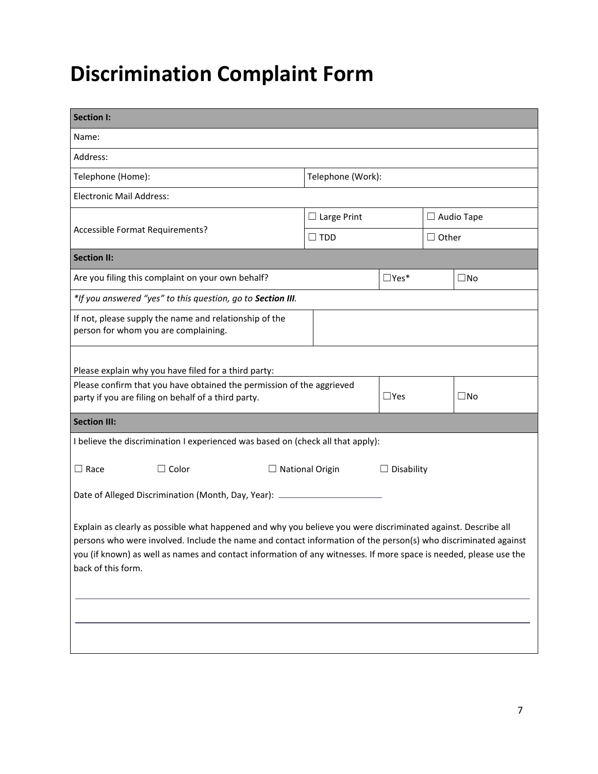## **Discrimination Complaint Form**

| <b>Section I:</b>                                                                                                                                                                                                                                                                                                                                                          |                   |                        |               |                   |              |  |  |
|----------------------------------------------------------------------------------------------------------------------------------------------------------------------------------------------------------------------------------------------------------------------------------------------------------------------------------------------------------------------------|-------------------|------------------------|---------------|-------------------|--------------|--|--|
| Name:                                                                                                                                                                                                                                                                                                                                                                      |                   |                        |               |                   |              |  |  |
| Address:                                                                                                                                                                                                                                                                                                                                                                   |                   |                        |               |                   |              |  |  |
| Telephone (Home):                                                                                                                                                                                                                                                                                                                                                          | Telephone (Work): |                        |               |                   |              |  |  |
| <b>Electronic Mail Address:</b>                                                                                                                                                                                                                                                                                                                                            |                   |                        |               |                   |              |  |  |
|                                                                                                                                                                                                                                                                                                                                                                            |                   | $\Box$ Large Print     |               | $\Box$ Audio Tape |              |  |  |
| Accessible Format Requirements?                                                                                                                                                                                                                                                                                                                                            |                   | $\square$ tdd          |               | $\Box$ Other      |              |  |  |
| <b>Section II:</b>                                                                                                                                                                                                                                                                                                                                                         |                   |                        |               |                   |              |  |  |
| Are you filing this complaint on your own behalf?                                                                                                                                                                                                                                                                                                                          |                   |                        | $\Box$ Yes*   |                   | $\square$ No |  |  |
| *If you answered "yes" to this question, go to Section III.                                                                                                                                                                                                                                                                                                                |                   |                        |               |                   |              |  |  |
| If not, please supply the name and relationship of the<br>person for whom you are complaining.                                                                                                                                                                                                                                                                             |                   |                        |               |                   |              |  |  |
| Please explain why you have filed for a third party:                                                                                                                                                                                                                                                                                                                       |                   |                        |               |                   |              |  |  |
| Please confirm that you have obtained the permission of the aggrieved<br>party if you are filing on behalf of a third party.                                                                                                                                                                                                                                               |                   |                        | $\square$ Yes |                   | $\square$ No |  |  |
| <b>Section III:</b>                                                                                                                                                                                                                                                                                                                                                        |                   |                        |               |                   |              |  |  |
| I believe the discrimination I experienced was based on (check all that apply):                                                                                                                                                                                                                                                                                            |                   |                        |               |                   |              |  |  |
| $\Box$ Race<br>$\Box$ Color                                                                                                                                                                                                                                                                                                                                                |                   | $\Box$ National Origin |               | $\Box$ Disability |              |  |  |
| Date of Alleged Discrimination (Month, Day, Year): __________                                                                                                                                                                                                                                                                                                              |                   |                        |               |                   |              |  |  |
| Explain as clearly as possible what happened and why you believe you were discriminated against. Describe all<br>persons who were involved. Include the name and contact information of the person(s) who discriminated against<br>you (if known) as well as names and contact information of any witnesses. If more space is needed, please use the<br>back of this form. |                   |                        |               |                   |              |  |  |
|                                                                                                                                                                                                                                                                                                                                                                            |                   |                        |               |                   |              |  |  |
|                                                                                                                                                                                                                                                                                                                                                                            |                   |                        |               |                   |              |  |  |